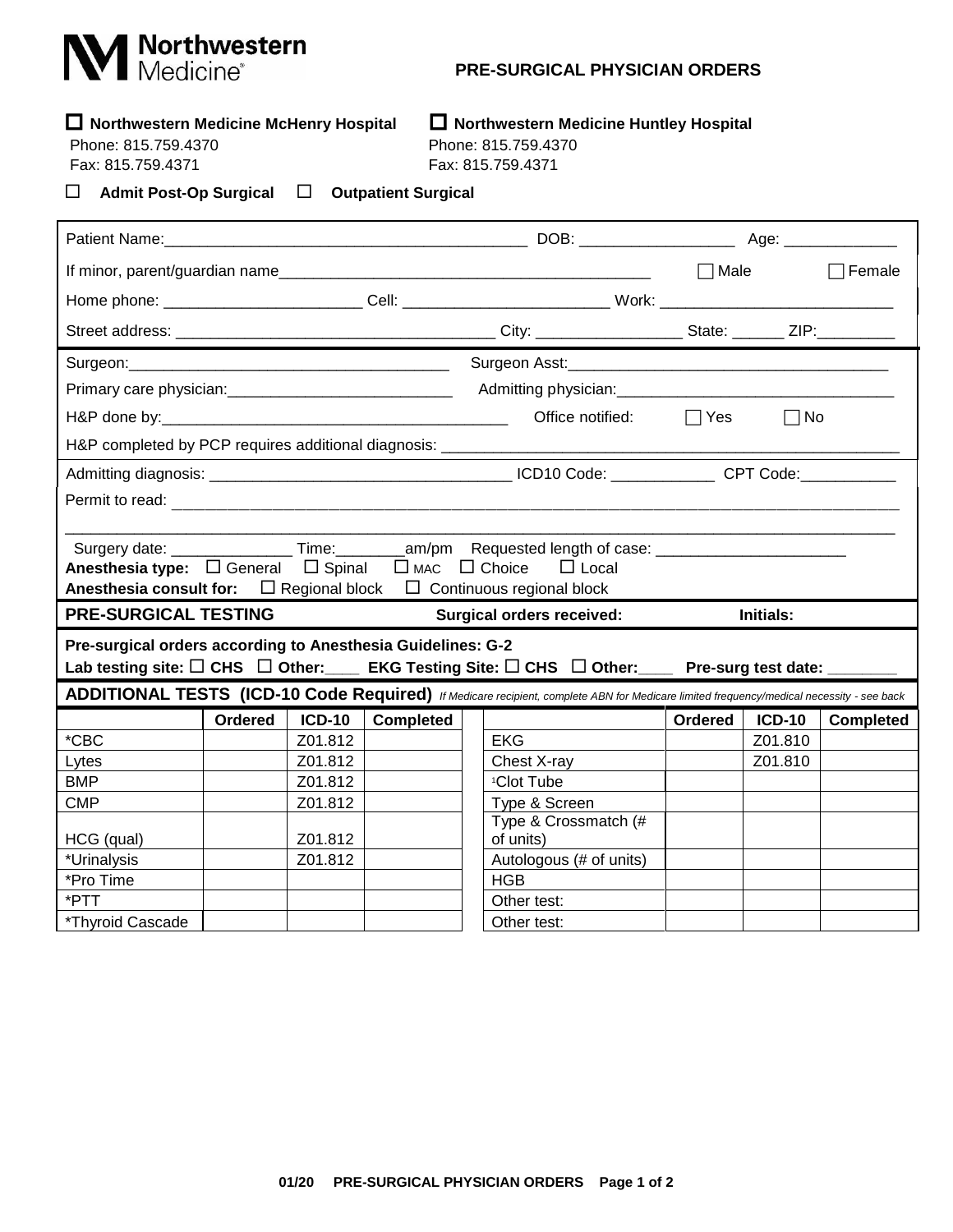## **M** Northwestern

## **PRE-SURGICAL PHYSICIAN ORDERS**

## **Northwestern Medicine McHenry Hospital Northwestern Medicine Huntley Hospital**

Phone: 815.759.4370 Phone: 815.759.4370

Fax: 815.759.4371 Fax: 815.759.4371

**Admit Post-Op Surgical Outpatient Surgical**

|                                                                                                                                         |         |               |                                  |                                                                                                                      | $\Box$ Male |               | $\Box$ Female    |  |  |  |  |
|-----------------------------------------------------------------------------------------------------------------------------------------|---------|---------------|----------------------------------|----------------------------------------------------------------------------------------------------------------------|-------------|---------------|------------------|--|--|--|--|
| Home phone: ___________________________Cell: _________________________________Work: __________________________                          |         |               |                                  |                                                                                                                      |             |               |                  |  |  |  |  |
|                                                                                                                                         |         |               |                                  |                                                                                                                      |             |               |                  |  |  |  |  |
|                                                                                                                                         |         |               |                                  | Surgeon Asst: Marian Marian Communication and Marian Communication and Marian Communication and Marian Communication |             |               |                  |  |  |  |  |
|                                                                                                                                         |         |               |                                  |                                                                                                                      |             |               |                  |  |  |  |  |
|                                                                                                                                         |         |               |                                  | Office notified:                                                                                                     | $\Box$ Yes  | $\Box$ No     |                  |  |  |  |  |
| H&P completed by PCP requires additional diagnosis: ____________________________                                                        |         |               |                                  |                                                                                                                      |             |               |                  |  |  |  |  |
|                                                                                                                                         |         |               |                                  |                                                                                                                      |             |               |                  |  |  |  |  |
|                                                                                                                                         |         |               |                                  |                                                                                                                      |             |               |                  |  |  |  |  |
|                                                                                                                                         |         |               |                                  |                                                                                                                      |             |               |                  |  |  |  |  |
|                                                                                                                                         |         |               |                                  |                                                                                                                      |             |               |                  |  |  |  |  |
| Anesthesia type: □ General □ Spinal □ MAC □ Choice<br>$\Box$ Local                                                                      |         |               |                                  |                                                                                                                      |             |               |                  |  |  |  |  |
| <b>Anesthesia consult for:</b> $\Box$ Regional block $\Box$ Continuous regional block                                                   |         |               |                                  |                                                                                                                      |             |               |                  |  |  |  |  |
| <b>PRE-SURGICAL TESTING</b>                                                                                                             |         |               | <b>Surgical orders received:</b> | <b>Initials:</b>                                                                                                     |             |               |                  |  |  |  |  |
| Pre-surgical orders according to Anesthesia Guidelines: G-2                                                                             |         |               |                                  |                                                                                                                      |             |               |                  |  |  |  |  |
| Lab testing site: $\square$ CHS $\;\square$ Other: EKG Testing Site: $\square$ CHS $\;\square$ Other: Pre-surg test date: _____         |         |               |                                  |                                                                                                                      |             |               |                  |  |  |  |  |
| ADDITIONAL TESTS (ICD-10 Code Required) If Medicare recipient, complete ABN for Medicare limited frequency/medical necessity - see back |         |               |                                  |                                                                                                                      |             |               |                  |  |  |  |  |
|                                                                                                                                         | Ordered | <b>ICD-10</b> | <b>Completed</b>                 |                                                                                                                      | Ordered     | <b>ICD-10</b> | <b>Completed</b> |  |  |  |  |
| $*$ CBC                                                                                                                                 |         | Z01.812       |                                  | <b>EKG</b>                                                                                                           |             | Z01.810       |                  |  |  |  |  |
| Lytes                                                                                                                                   |         | Z01.812       |                                  | Chest X-ray                                                                                                          |             | Z01.810       |                  |  |  |  |  |
| <b>BMP</b>                                                                                                                              |         | Z01.812       |                                  | <sup>1</sup> Clot Tube                                                                                               |             |               |                  |  |  |  |  |
| <b>CMP</b>                                                                                                                              |         | Z01.812       |                                  | Type & Screen                                                                                                        |             |               |                  |  |  |  |  |
|                                                                                                                                         |         |               |                                  | Type & Crossmatch (#                                                                                                 |             |               |                  |  |  |  |  |
| HCG (qual)                                                                                                                              |         | Z01.812       |                                  | of units)                                                                                                            |             |               |                  |  |  |  |  |
| *Urinalysis                                                                                                                             |         |               |                                  | Autologous (# of units)                                                                                              |             |               |                  |  |  |  |  |
|                                                                                                                                         |         | Z01.812       |                                  |                                                                                                                      |             |               |                  |  |  |  |  |
| *Pro Time                                                                                                                               |         |               |                                  | <b>HGB</b>                                                                                                           |             |               |                  |  |  |  |  |
| *PTT<br>*Thyroid Cascade                                                                                                                |         |               |                                  | Other test:<br>Other test:                                                                                           |             |               |                  |  |  |  |  |